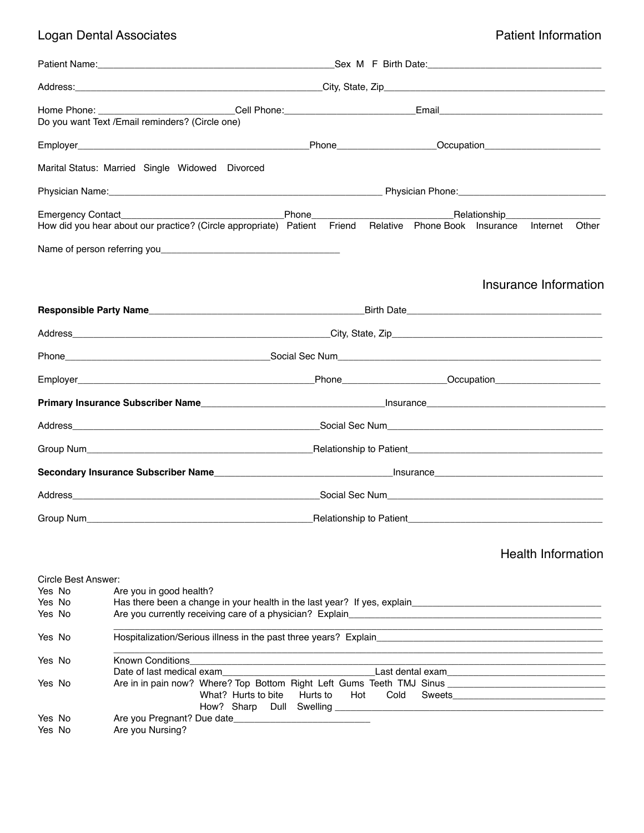## Logan Dental Associates! ! ! ! ! ! ! ! ! Patient Information

|                                                   | Do you want Text / Email reminders? (Circle one)                                                                                                                                                                                                  |          |     |      |  |  |                           |       |
|---------------------------------------------------|---------------------------------------------------------------------------------------------------------------------------------------------------------------------------------------------------------------------------------------------------|----------|-----|------|--|--|---------------------------|-------|
|                                                   |                                                                                                                                                                                                                                                   |          |     |      |  |  |                           |       |
|                                                   | Marital Status: Married Single Widowed Divorced                                                                                                                                                                                                   |          |     |      |  |  |                           |       |
|                                                   |                                                                                                                                                                                                                                                   |          |     |      |  |  |                           |       |
|                                                   | How did you hear about our practice? (Circle appropriate) Patient Friend Relative Phone Book Insurance Internet                                                                                                                                   |          |     |      |  |  |                           | Other |
|                                                   |                                                                                                                                                                                                                                                   |          |     |      |  |  | Insurance Information     |       |
|                                                   |                                                                                                                                                                                                                                                   |          |     |      |  |  |                           |       |
|                                                   |                                                                                                                                                                                                                                                   |          |     |      |  |  |                           |       |
|                                                   |                                                                                                                                                                                                                                                   |          |     |      |  |  |                           |       |
|                                                   |                                                                                                                                                                                                                                                   |          |     |      |  |  |                           |       |
|                                                   |                                                                                                                                                                                                                                                   |          |     |      |  |  |                           |       |
|                                                   |                                                                                                                                                                                                                                                   |          |     |      |  |  |                           |       |
|                                                   |                                                                                                                                                                                                                                                   |          |     |      |  |  |                           |       |
|                                                   |                                                                                                                                                                                                                                                   |          |     |      |  |  |                           |       |
|                                                   |                                                                                                                                                                                                                                                   |          |     |      |  |  |                           |       |
|                                                   | Group Num <sub> contract to Patient</sub> Contract to Patient <sub>contract to Patient contract to Patient Contract to Patient Contract to Patient Contract to Patient Contract to Patient Contract to Patient Contract to Patient Contract</sub> |          |     |      |  |  |                           |       |
|                                                   |                                                                                                                                                                                                                                                   |          |     |      |  |  | <b>Health Information</b> |       |
| Circle Best Answer:<br>Yes No<br>Yes No<br>Yes No | Are you in good health?                                                                                                                                                                                                                           |          |     |      |  |  |                           |       |
| Yes No                                            |                                                                                                                                                                                                                                                   |          |     |      |  |  |                           |       |
| Yes No                                            | Date of last medical exameters are all the control of the control of the control of the control of the control of the control of the control of the control of the control of the control of the control of the control of the                    |          |     |      |  |  |                           |       |
| Yes No                                            | Are in in pain now? Where? Top Bottom Right Left Gums Teeth TMJ Sinus ______________________________<br>What? Hurts to bite<br>How? Sharp Dull Swelling                                                                                           | Hurts to | Hot | Cold |  |  |                           |       |

Yes No! ! Are you Pregnant? Due date\_\_\_\_\_\_\_\_\_\_\_\_\_\_\_\_\_\_\_\_\_\_\_\_\_\_

Yes No **Are you Nursing?**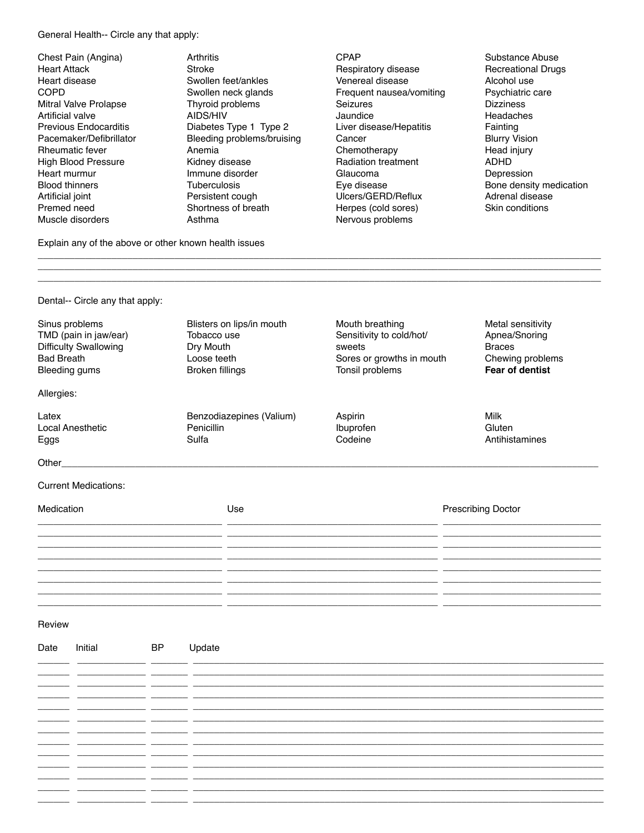General Health-- Circle any that apply:

Chest Pain (Angina) Heart Attack Heart disease COPD Mitral Valve Prolapse Artificial valve Previous Endocarditis Pacemaker/Defibrillator Rheumatic fever High Blood Pressure Heart murmur Blood thinners Artificial joint Premed need Muscle disorders

**Arthritis** Stroke Swollen feet/ankles Swollen neck glands Thyroid problems AIDS/HIV Diabetes Type 1 Type 2 Bleeding problems/bruising Anemia Kidney disease Immune disorder Tuberculosis Persistent cough Shortness of breath Asthma

- CPAP Respiratory disease Venereal disease Frequent nausea/vomiting Seizures Jaundice Liver disease/Hepatitis **Cancer** Chemotherapy Radiation treatment Glaucoma Eye disease Ulcers/GERD/Reflux Herpes (cold sores) Nervous problems
- Substance Abuse Recreational Drugs Alcohol use Psychiatric care **Dizziness** Headaches Fainting Blurry Vision Head injury ADHD Depression Bone density medication Adrenal disease Skin conditions

Explain any of the above or other known health issues

| Dental-- Circle any that apply:                                                                               |                                                                                                |                                                                                                                      |                                                                                                   |
|---------------------------------------------------------------------------------------------------------------|------------------------------------------------------------------------------------------------|----------------------------------------------------------------------------------------------------------------------|---------------------------------------------------------------------------------------------------|
| Sinus problems<br>TMD (pain in jaw/ear)<br><b>Difficulty Swallowing</b><br><b>Bad Breath</b><br>Bleeding gums | Blisters on lips/in mouth<br>Tobacco use<br>Dry Mouth<br>Loose teeth<br><b>Broken fillings</b> | Mouth breathing<br>Sensitivity to cold/hot/<br>sweets<br>Sores or growths in mouth<br>Tonsil problems                | Metal sensitivity<br>Apnea/Snoring<br><b>Braces</b><br>Chewing problems<br><b>Fear of dentist</b> |
| Allergies:                                                                                                    |                                                                                                |                                                                                                                      |                                                                                                   |
| Latex<br><b>Local Anesthetic</b><br>Eggs                                                                      | Benzodiazepines (Valium)<br>Penicillin<br>Sulfa                                                | Aspirin<br>Ibuprofen<br>Codeine                                                                                      | Milk<br>Gluten<br>Antihistamines                                                                  |
|                                                                                                               |                                                                                                |                                                                                                                      |                                                                                                   |
| <b>Current Medications:</b>                                                                                   |                                                                                                |                                                                                                                      |                                                                                                   |
| Medication                                                                                                    | Use                                                                                            |                                                                                                                      | <b>Prescribing Doctor</b>                                                                         |
|                                                                                                               |                                                                                                |                                                                                                                      |                                                                                                   |
|                                                                                                               |                                                                                                | <u> 1989 - Andrea Santa Alemania, amerikana amerikana amerikana amerikana amerikana amerikana amerikana amerikan</u> |                                                                                                   |
|                                                                                                               |                                                                                                |                                                                                                                      |                                                                                                   |

\_\_\_\_\_\_\_\_\_\_\_\_\_\_\_\_\_\_\_\_\_\_\_\_\_\_\_\_\_\_\_\_\_\_\_\_\_\_\_\_\_\_\_\_\_\_\_\_\_\_\_\_\_\_\_\_\_\_\_\_\_\_\_\_\_\_\_\_\_\_\_\_\_\_\_\_\_\_\_\_\_\_\_\_\_\_\_\_\_\_\_\_\_\_\_\_\_\_\_\_\_\_\_\_\_\_\_ \_\_\_\_\_\_\_\_\_\_\_\_\_\_\_\_\_\_\_\_\_\_\_\_\_\_\_\_\_\_\_\_\_\_\_\_\_\_\_\_\_\_\_\_\_\_\_\_\_\_\_\_\_\_\_\_\_\_\_\_\_\_\_\_\_\_\_\_\_\_\_\_\_\_\_\_\_\_\_\_\_\_\_\_\_\_\_\_\_\_\_\_\_\_\_\_\_\_\_\_\_\_\_\_\_\_\_

| Date    | Initial | <b>BP</b>                                       | Update |
|---------|---------|-------------------------------------------------|--------|
|         |         |                                                 |        |
|         |         |                                                 | __     |
|         |         |                                                 |        |
|         |         |                                                 |        |
|         |         |                                                 |        |
|         |         | the contract of the contract of the contract of | $\sim$ |
|         |         |                                                 |        |
|         |         |                                                 |        |
| _______ |         |                                                 |        |